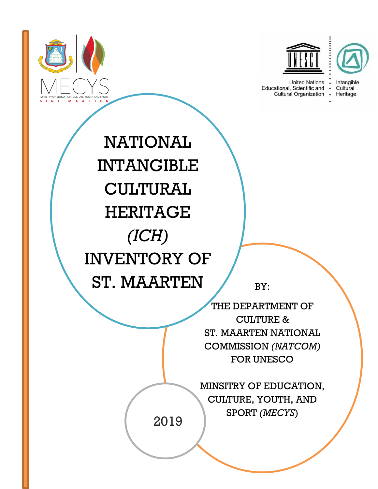



**United Nations** Educational, Scientific and . Cultural Organization .



Heritage

NATIONAL INTANGIBLE CULTURAL HERITAGE *(ICH)* INVENTORY OF ST. MAARTEN

BY:

THE DEPARTMENT OF CULTURE & ST. MAARTEN NATIONAL COMMISSION *(NATCOM)* FOR UNESCO CLASS NAME

> MINSITRY OF EDUCATION, CULTURE, YOUTH, AND SPORT *(MECYS*)

2019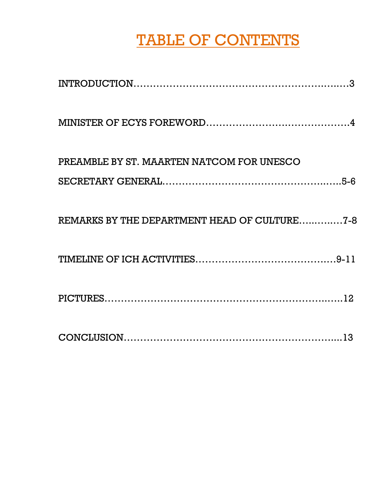# TABLE OF CONTENTS

| PREAMBLE BY ST. MAARTEN NATCOM FOR UNESCO    |
|----------------------------------------------|
|                                              |
| REMARKS BY THE DEPARTMENT HEAD OF CULTURE7-8 |
|                                              |
|                                              |
|                                              |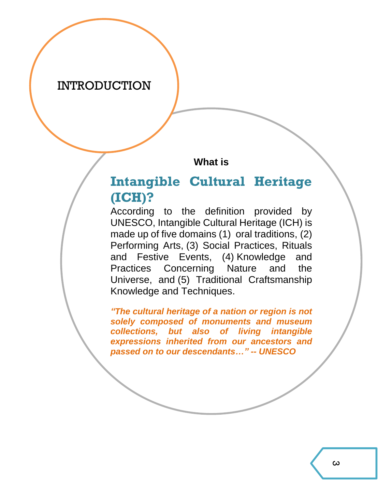#### INTRODUCTION

**What is**

### **Intangible Cultural Heritage (ICH)?**

According to the definition provided by UNESCO, Intangible Cultural Heritage (ICH) is made up of five domains (1) [oral traditions,](http://www.unesco.org/culture/ich/index.php?lg=en&pg=00053) (2) [Performing Arts,](http://www.unesco.org/culture/ich/index.php?lg=en&pg=00054) (3) [Social Practices, Rituals](http://www.unesco.org/culture/ich/index.php?lg=en&pg=00055)  [and Festive Events,](http://www.unesco.org/culture/ich/index.php?lg=en&pg=00055) (4) [Knowledge and](http://www.unesco.org/culture/ich/index.php?lg=en&pg=00056)  [Practices Concerning Nature and the](http://www.unesco.org/culture/ich/index.php?lg=en&pg=00056)  [Universe,](http://www.unesco.org/culture/ich/index.php?lg=en&pg=00056) and (5) [Traditional Craftsmanship](http://www.unesco.org/culture/ich/index.php?lg=en&pg=00057)  [Knowledge and Techniques.](http://www.unesco.org/culture/ich/index.php?lg=en&pg=00057)

*"The cultural heritage of a nation or region is not solely composed of monuments and museum collections, but also of living intangible expressions inherited from our ancestors and passed on to our descendants…" -- UNESCO*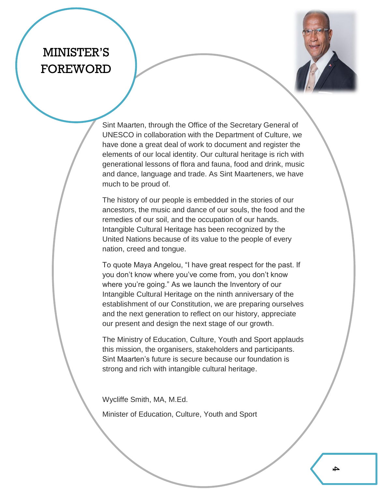### MINISTER'S FOREWORD



Sint Maarten, through the Office of the Secretary General of UNESCO in collaboration with the Department of Culture, we have done a great deal of work to document and register the elements of our local identity. Our cultural heritage is rich with generational lessons of flora and fauna, food and drink, music and dance, language and trade. As Sint Maarteners, we have much to be proud of.

The history of our people is embedded in the stories of our ancestors, the music and dance of our souls, the food and the remedies of our soil, and the occupation of our hands. Intangible Cultural Heritage has been recognized by the United Nations because of its value to the people of every nation, creed and tongue.

To quote Maya Angelou, "I have great respect for the past. If you don't know where you've come from, you don't know where you're going." As we launch the Inventory of our Intangible Cultural Heritage on the ninth anniversary of the establishment of our Constitution, we are preparing ourselves and the next generation to reflect on our history, appreciate our present and design the next stage of our growth.

The Ministry of Education, Culture, Youth and Sport applauds this mission, the organisers, stakeholders and participants. Sint Maarten's future is secure because our foundation is strong and rich with intangible cultural heritage.

Wycliffe Smith, MA, M.Ed.

Minister of Education, Culture, Youth and Sport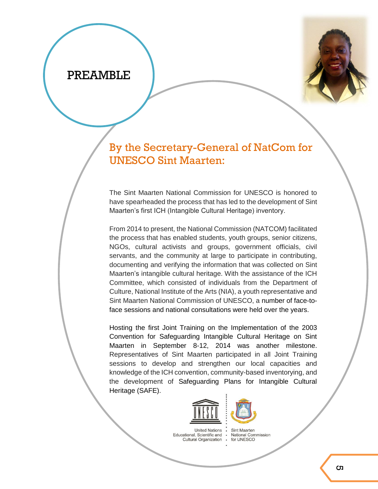#### PREAMBLE



### By the Secretary-General of NatCom for UNESCO Sint Maarten:

The Sint Maarten National Commission for UNESCO is honored to have spearheaded the process that has led to the development of Sint Maarten's first ICH (Intangible Cultural Heritage) inventory.

From 2014 to present, the National Commission (NATCOM) facilitated the process that has enabled students, youth groups, senior citizens, NGOs, cultural activists and groups, government officials, civil servants, and the community at large to participate in contributing, documenting and verifying the information that was collected on Sint Maarten's intangible cultural heritage. With the assistance of the ICH Committee, which consisted of individuals from the Department of Culture, National Institute of the Arts (NIA), a youth representative and Sint Maarten National Commission of UNESCO, a number of face-toface sessions and national consultations were held over the years.

Hosting the first Joint Training on the Implementation of the 2003 Convention for Safeguarding Intangible Cultural Heritage on Sint Maarten in September 8-12, 2014 was another milestone. Representatives of Sint Maarten participated in all Joint Training sessions to develop and strengthen our local capacities and knowledge of the ICH convention, community-based inventorying, and the development of Safeguarding Plans for Intangible Cultural Heritage (SAFE).





 $\ddot{\phantom{a}}$ 

**United Nations** Educational, Scientific and Cultural Organization

**Sint Maarten** National Commission for UNESCO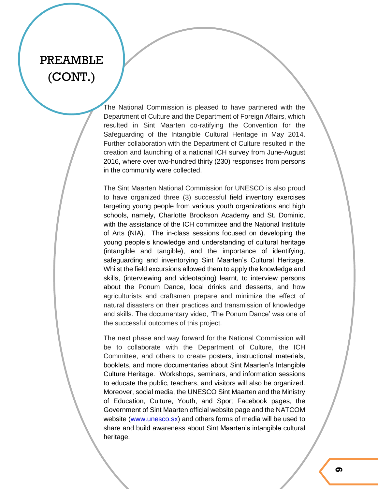### PREAMBLE (CONT.)

The National Commission is pleased to have partnered with the Department of Culture and the Department of Foreign Affairs, which resulted in Sint Maarten co-ratifying the Convention for the Safeguarding of the Intangible Cultural Heritage in May 2014. Further collaboration with the Department of Culture resulted in the creation and launching of a national ICH survey from June-August 2016, where over two-hundred thirty (230) responses from persons in the community were collected.

The Sint Maarten National Commission for UNESCO is also proud to have organized three (3) successful field inventory exercises targeting young people from various youth organizations and high schools, namely, Charlotte Brookson Academy and St. Dominic, with the assistance of the ICH committee and the National Institute of Arts (NIA). The in-class sessions focused on developing the young people's knowledge and understanding of cultural heritage (intangible and tangible), and the importance of identifying, safeguarding and inventorying Sint Maarten's Cultural Heritage. Whilst the field excursions allowed them to apply the knowledge and skills, (interviewing and videotaping) learnt, to interview persons about the Ponum Dance, local drinks and desserts, and how agriculturists and craftsmen prepare and minimize the effect of natural disasters on their practices and transmission of knowledge and skills. The documentary video, 'The Ponum Dance' was one of the successful outcomes of this project.

The next phase and way forward for the National Commission will be to collaborate with the Department of Culture, the ICH Committee, and others to create posters, instructional materials, booklets, and more documentaries about Sint Maarten's Intangible Culture Heritage. Workshops, seminars, and information sessions to educate the public, teachers, and visitors will also be organized. Moreover, social media, the UNESCO Sint Maarten and the Ministry of Education, Culture, Youth, and Sport Facebook pages, the Government of Sint Maarten official website page and the NATCOM website [\(www.unesco.sx\)](http://www.unesco.sx/) and others forms of media will be used to share and build awareness about Sint Maarten's intangible cultural heritage.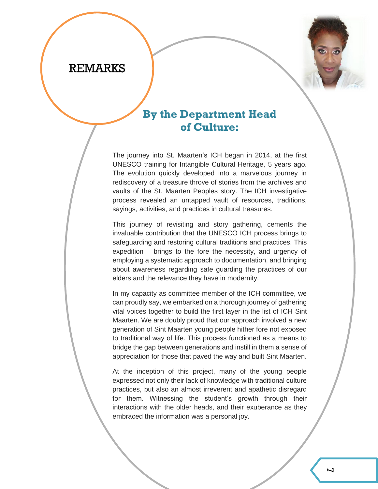#### REMARKS



#### **By the Department Head of Culture:**

The journey into St. Maarten's ICH began in 2014, at the first UNESCO training for Intangible Cultural Heritage, 5 years ago. The evolution quickly developed into a marvelous journey in rediscovery of a treasure throve of stories from the archives and vaults of the St. Maarten Peoples story. The ICH investigative process revealed an untapped vault of resources, traditions, sayings, activities, and practices in cultural treasures.

This journey of revisiting and story gathering, cements the invaluable contribution that the UNESCO ICH process brings to safeguarding and restoring cultural traditions and practices. This expedition brings to the fore the necessity, and urgency of employing a systematic approach to documentation, and bringing about awareness regarding safe guarding the practices of our elders and the relevance they have in modernity.

In my capacity as committee member of the ICH committee, we can proudly say, we embarked on a thorough journey of gathering vital voices together to build the first layer in the list of ICH Sint Maarten. We are doubly proud that our approach involved a new generation of Sint Maarten young people hither fore not exposed to traditional way of life. This process functioned as a means to bridge the gap between generations and instill in them a sense of appreciation for those that paved the way and built Sint Maarten.

At the inception of this project, many of the young people expressed not only their lack of knowledge with traditional culture practices, but also an almost irreverent and apathetic disregard for them. Witnessing the student's growth through their interactions with the older heads, and their exuberance as they embraced the information was a personal joy.

More than just generating data for a list, we can also a rich  $\alpha$ dense learning experience to the benefit of these young people who grew up far removed from the traditions of their elders. Additionally, this forum provided a much-celebrated

afternoon for reminiscing amongst the elders and an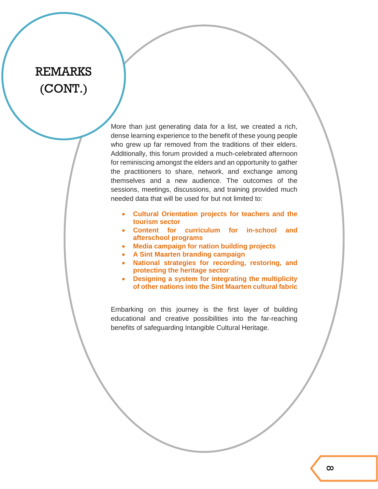### REMARKS (CONT.)

More than just generating data for a list, we created a rich, dense learning experience to the benefit of these young people who grew up far removed from the traditions of their elders. Additionally, this forum provided a much-celebrated afternoon for reminiscing amongst the elders and an opportunity to gather the practitioners to share, network, and exchange among themselves and a new audience. The outcomes of the sessions, meetings, discussions, and training provided much needed data that will be used for but not limited to:

- **Cultural Orientation projects for teachers and the tourism sector**
- **Content for curriculum for in-school and afterschool programs**
- **Media campaign for nation building projects**
- **A Sint Maarten branding campaign**
- **National strategies for recording, restoring, and protecting the heritage sector**
- **Designing a system for integrating the multiplicity of other nations into the Sint Maarten cultural fabric**

Embarking on this journey is the first layer of building educational and creative possibilities into the far-reaching benefits of safeguarding Intangible Cultural Heritage.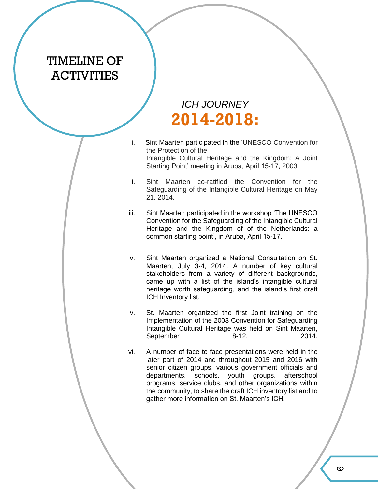### TIMELINE OF **ACTIVITIES**

### *ICH JOURNEY* **2014-2018:**

- i. Sint Maarten participated in the 'UNESCO Convention for the Protection of the Intangible Cultural Heritage and the Kingdom: A Joint Starting Point' meeting in Aruba, April 15-17, 2003.
- ii. Sint Maarten co-ratified the Convention for the Safeguarding of the Intangible Cultural Heritage on May 21, 2014.
- iii. Sint Maarten participated in the workshop 'The UNESCO Convention for the Safeguarding of the Intangible Cultural Heritage and the Kingdom of of the Netherlands: a common starting point', in Aruba, April 15-17.
- iv. Sint Maarten organized a National Consultation on St. Maarten, July 3-4, 2014. A number of key cultural stakeholders from a variety of different backgrounds, came up with a list of the island's intangible cultural heritage worth safeguarding, and the island's first draft ICH Inventory list.
- v. St. Maarten organized the first Joint training on the Implementation of the 2003 Convention for Safeguarding Intangible Cultural Heritage was held on Sint Maarten, September 8-12, 2014.
- vi. A number of face to face presentations were held in the later part of 2014 and throughout 2015 and 2016 with senior citizen groups, various government officials and departments, schools, youth groups, afterschool programs, service clubs, and other organizations within the community, to share the draft ICH inventory list and to gather more information on St. Maarten's ICH.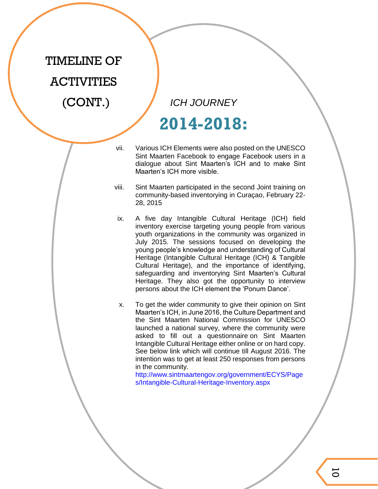# TIMELINE OF ACTIVITIES  $(CONT.)$

*ICH JOURNEY*

## **2014-2018:**

- vii. Various ICH Elements were also posted on the UNESCO Sint Maarten Facebook to engage Facebook users in a dialogue about Sint Maarten's ICH and to make Sint Maarten's ICH more visible.
- viii. Sint Maarten participated in the second Joint training on community-based inventorying in Curaçao, February 22- 28, 2015
- ix. A five day Intangible Cultural Heritage (ICH) field inventory exercise targeting young people from various youth organizations in the community was organized in July 2015. The sessions focused on developing the young people's knowledge and understanding of Cultural Heritage (Intangible Cultural Heritage (ICH) & Tangible Cultural Heritage), and the importance of identifying, safeguarding and inventorying Sint Maarten's Cultural Heritage. They also got the opportunity to interview persons about the ICH element the 'Ponum Dance'.
- x. To get the wider community to give their opinion on Sint Maarten's ICH, in June 2016, the Culture Department and the Sint Maarten National Commission for UNESCO launched a national survey, where the community were asked to fill out a questionnaire on Sint Maarten Intangible Cultural Heritage either online or on hard copy. See below link which will continue till August 2016. The intention was to get at least 250 responses from persons in the community.

[http://www.sintmaartengov.org/government/ECYS/Page](http://www.sintmaartengov.org/government/ECYS/Pages/Intangible-Cultural-Heritage-Inventory.aspx) [s/Intangible-Cultural-Heritage-Inventory.aspx](http://www.sintmaartengov.org/government/ECYS/Pages/Intangible-Cultural-Heritage-Inventory.aspx)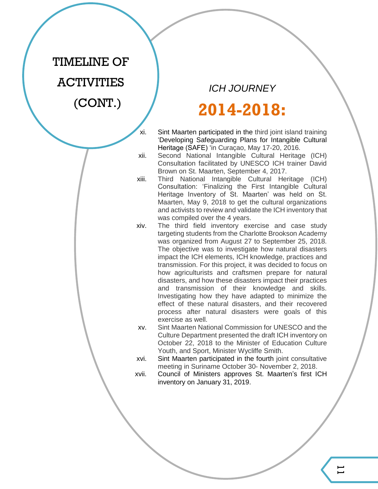## TIMELINE OF **ACTIVITIES**  $(CONT.)$

*ICH JOURNEY*

## **2014-2018:**

- xi. Sint Maarten participated in the third joint island training 'Developing Safeguarding Plans for Intangible Cultural Heritage (SAFE) 'in Curaçao, May 17-20, 2016.
- xii. Second National Intangible Cultural Heritage (ICH) Consultation facilitated by UNESCO ICH trainer David Brown on St. Maarten, September 4, 2017.
- xiii. Third National Intangible Cultural Heritage (ICH) Consultation: 'Finalizing the First Intangible Cultural Heritage Inventory of St. Maarten' was held on St. Maarten, May 9, 2018 to get the cultural organizations and activists to review and validate the ICH inventory that was compiled over the 4 years.
- xiv. The third field inventory exercise and case study targeting students from the Charlotte Brookson Academy was organized from August 27 to September 25, 2018. The objective was to investigate how natural disasters impact the ICH elements, ICH knowledge, practices and transmission. For this project, it was decided to focus on how agriculturists and craftsmen prepare for natural disasters, and how these disasters impact their practices and transmission of their knowledge and skills. Investigating how they have adapted to minimize the effect of these natural disasters, and their recovered process after natural disasters were goals of this exercise as well.
- xv. Sint Maarten National Commission for UNESCO and the Culture Department presented the draft ICH inventory on October 22, 2018 to the Minister of Education Culture Youth, and Sport, Minister Wycliffe Smith.
- xvi. Sint Maarten participated in the fourth joint consultative meeting in Suriname October 30- November 2, 2018.
- xvii. Council of Ministers approves St. Maarten's first ICH inventory on January 31, 2019.

 $\overline{\phantom{0}}$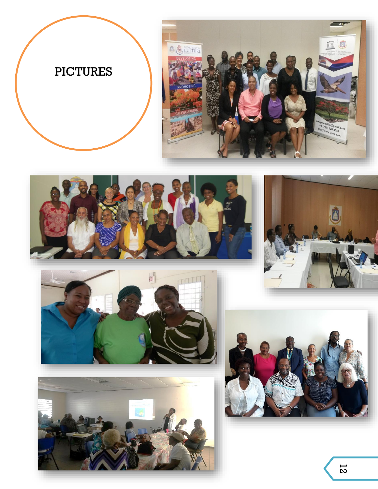